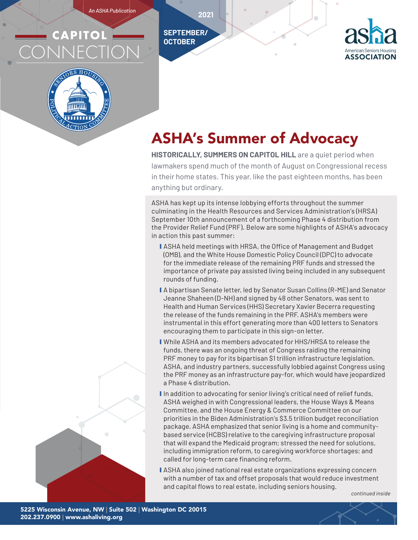*An ASHA Publication*

**SEPTEMBER/ OCTOBER**

**2021**

# **CAPITOL** CONNECTION





# ASHA's Summer of Advocacy

**HISTORICALLY, SUMMERS ON CAPITOL HILL** are a quiet period when lawmakers spend much of the month of August on Congressional recess in their home states. This year, like the past eighteen months, has been anything but ordinary.

ASHA has kept up its intense lobbying efforts throughout the summer culminating in the Health Resources and Services Administration's (HRSA) September 10th announcement of a forthcoming Phase 4 distribution from the Provider Relief Fund (PRF). Below are some highlights of ASHA's advocacy in action this past summer:

- **I** ASHA held meetings with HRSA, the Office of Management and Budget (OMB), and the White House Domestic Policy Council (DPC) to advocate for the immediate release of the remaining PRF funds and stressed the importance of private pay assisted living being included in any subsequent rounds of funding.
- A bipartisan Senate letter, led by Senator Susan Collins (R-ME) and Senator Jeanne Shaheen (D-NH) and signed by 48 other Senators, was sent to Health and Human Services (HHS) Secretary Xavier Becerra requesting the release of the funds remaining in the PRF. ASHA's members were instrumental in this effort generating more than 400 letters to Senators encouraging them to participate in this sign-on letter.
- **I** While ASHA and its members advocated for HHS/HRSA to release the funds, there was an ongoing threat of Congress raiding the remaining PRF money to pay for its bipartisan \$1 trillion infrastructure legislation. ASHA, and industry partners, successfully lobbied against Congress using the PRF money as an infrastructure pay-for, which would have jeopardized a Phase 4 distribution.
- I In addition to advocating for senior living's critical need of relief funds, ASHA weighed in with Congressional leaders, the House Ways & Means Committee, and the House Energy & Commerce Committee on our priorities in the Biden Administration's \$3.5 trillion budget reconciliation package. ASHA emphasized that senior living is a home and communitybased service (HCBS) relative to the caregiving infrastructure proposal that will expand the Medicaid program; stressed the need for solutions, including immigration reform, to caregiving workforce shortages; and called for long-term care financing reform.
- **I** ASHA also joined national real estate organizations expressing concern with a number of tax and offset proposals that would reduce investment and capital flows to real estate, including seniors housing.

*continued inside*

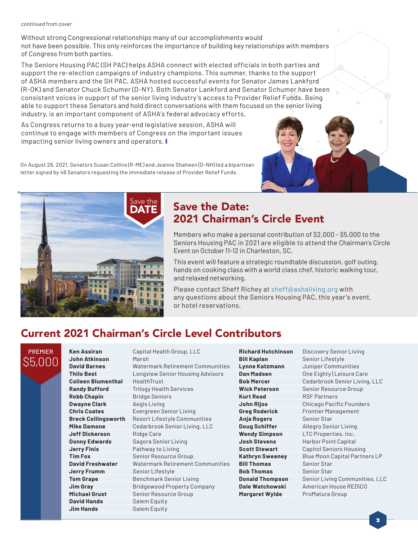#### *continued from cover*

Without strong Congressional relationships many of our accomplishments would not have been possible. This only reinforces the importance of building key relationships with members of Congress from both parties.

The Seniors Housing PAC (SH PAC) helps ASHA connect with elected officials in both parties and support the re-election campaigns of industry champions. This summer, thanks to the support of ASHA members and the SH PAC, ASHA hosted successful events for Senator James Lankford (R-OK) and Senator Chuck Schumer (D-NY). Both Senator Lankford and Senator Schumer have been consistent voices in support of the senior living industry's access to Provider Relief Funds. Being able to support these Senators and hold direct conversations with them focused on the senior living industry, is an important component of ASHA's federal advocacy efforts.

As Congress returns to a busy year-end legislative session, ASHA will continue to engage with members of Congress on the important issues impacting senior living owners and operators.

On August 26, 2021, Senators Susan Collins (R-ME) and Jeanne Shaheen (D-NH) led a bipartisan letter signed by 48 Senators requesting the immediate release of Provider Relief Funds.



### Save the Date: 2021 Chairman's Circle Event

Members who make a personal contribution of \$2,000 - \$5,000 to the Seniors Housing PAC in 2021 are eligible to attend the Chairman's Circle Event on October 11-12 in Charleston, SC.

This event will feature a strategic roundtable discussion, golf outing, hands on cooking class with a world class chef, historic walking tour, and relaxed networking.

Please contact Sheff Richey at sheff@ashaliving.org with any questions about the Seniors Housing PAC, this year's event, or hotel reservations.

# Current 2021 Chairman's Circle Level Contributors

PREMIER \$5,000

**Ken Assiran** Capital Health Group, LLC **John Atkinson** Marsh **Colleen Blumenthal** HealthTrust **Robb Chapin** Bridge Seniors **Dwayne Clark Aegis Living Jeff Dickerson** Ridge Care **Jerry Finis** Pathway to Living **Jerry Frumm** Senior Lifestyle **David Hands** Salem Equity **Jim Hands** Salem Equity

**David Barnes** Watermark Retirement Communities **Thilo Best** Longview Senior Housing Advisors **Randy Bufford** Trilogy Health Services **Chris Coates** Evergreen Senior Living **Breck Collingsworth** Resort Lifestyle Communities **Mike Damone** Cedarbrook Senior Living, LLC **Donny Edwards** Sagora Senior Living **Tim Fox** Senior Resource Group **David Freshwater** Watermark Retirement Communities **Tom Grape** Benchmark Senior Living **Jim Gray** Bridgewood Property Company **Michael Grust** Senior Resource Group

**Bill Kaplan** Senior Lifestyle **Kurt Read** RSF Partners **Anja Rogers** Senior Star **Bill Thomas** Senior Star **Bob Thomas** Senior Star **Margaret Wylde** ProMatura Group

**Richard Hutchinson** Discovery Senior Living **Lynne Katzmann** Juniper Communities **Dan Madsen One Eighty | Leisure Care Bob Mercer** Cedarbrook Senior Living, LLC **Wick Peterson** Senior Resource Group **John Rijos** Chicago Pacific Founders **Greg Roderick** Frontier Management **Doug Schiffer** Allegro Senior Living **Wendy Simpson** LTC Properties, Inc. **Josh Stevens** Harbor Point Capital **Scott Stewart** Capitol Seniors Housing **Kathryn Sweeney** Blue Moon Capital Partners LP **Donald Thompson** Senior Living Communities, LLC **Dale Watchowski** American House REDICO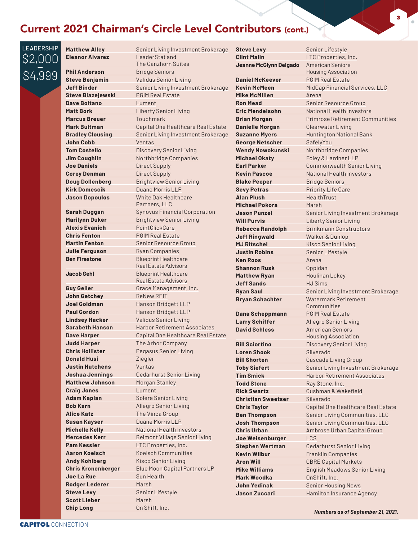#### Current 2021 Chairman's Circle Level Contributors (cont.)

**LEADERSHIP** \$2,000 \$4,999

**Phil Anderson** Bridge Seniors

**Dave Boitano** Lument **Marcus Breuer Touchmark John Cobb** Ventas **Joe Daniels** Direct Supply **Corey Denman Direct Supply Kirk Domescik** Duane Morris LLP

**Alexis Evanich** PointClickCare **Chris Fenton** PGIM Real Estate **Julie Ferguson** Ryan Companies

**John Getchey** ReNew REIT **Judd Harper** The Arbor Company **Donald Husi Ziegler Justin Hutchens** Ventas **Matthew Johnson** Morgan Stanley **Craig Jones** Lument **Adam Kaplan** Solera Senior Living **Alice Katz** The Vinca Group **Susan Kayser** Duane Morris LLP **Pam Kessler** LTC Properties, Inc. **Andy Kohlberg** Kisco Senior Living **Joe La Rue** Sun Health **Rodger Lederer** Marsh **Steve Levy** Senior Lifestyle **Scott Lieber** Marsh **Chip Long** On Shift, Inc.

**Matthew Alley** Senior Living Investment Brokerage **Eleanor Alvarez** LeaderStat and The Ganzhorn Suites **Steve Benjamin** Validus Senior Living **Jeff Binder** Senior Living Investment Brokerage **Steve Blazejewski** PGIM Real Estate **Matt Bork** Liberty Senior Living **Mark Bultman** Capital One Healthcare Real Estate **Bradley Clousing** Senior Living Investment Brokerage **Tom Costello** Discovery Senior Living **Jim Coughlin** Northbridge Companies **Doug Dollenberg** Brightview Senior Living **Jason Dopoulos** White Oak Healthcare Partners, LLC **Sarah Duggan** Synovus Financial Corporation **Marilynn Duker** Brightview Senior Living **Martin Fenton** Senior Resource Group **Ben Firestone** Blueprint Healthcare Real Estate Advisors **Jacob Gehl** Blueprint Healthcare Real Estate Advisors **Guy Geller** Grace Management, Inc. **Joel Goldman** Hanson Bridgett LLP **Paul Gordon** Hanson Bridgett LLP **Lindsey Hacker** Validus Senior Living **Sarabeth Hanson** Harbor Retirement Associates **Dave Harper** Capital One Healthcare Real Estate **Chris Hollister** Pegasus Senior Living **Joshua Jennings** Cedarhurst Senior Living **Bob Karn** Allegro Senior Living **Michelle Kelly** National Health Investors **Mercedes Kerr** Belmont Village Senior Living **Aaron Koelsch** Koelsch Communities **Chris Kronenberger** Blue Moon Capital Partners LP

**Clint Malin** LTC Properties, Inc. **Jeanne McGlynn Delgado** American Seniors **Daniel McKeever** PGIM Real Estate **Mike McMillen** Arena **Danielle Morgan** Clearwater Living **George Netscher** SafelyYou **Michael Okaty Foley & Lardner LLP Blake Peeper** Bridge Seniors **Sevy Petras** Priority Life Care **Alan Plush** HealthTrust **Michael Pokora** Marsh **Jeff Ringwald** Walker & Dunlop **MJ Ritschel** Kisco Senior Living **Justin Robins** Senior Lifestyle **Ken Roos Arena Shannon Rusk Copidan Matthew Ryan** Houlihan Lokey **Jeff Sands** HJ Sims **Dana Scheppmann** PGIM Real Estate **Larry Schiffer** Allegro Senior Living **David Schless American Seniors Loren Shook** Silverado **Todd Stone** Ray Stone, Inc. **Christian Sweetser** Silverado **Joe Weisenburger** LCS **Kevin Wilbur** Franklin Companies **Mark Woodka OnShift, Inc.** 

**Steve Levy** Senior Lifestyle Housing Association **Kevin McMeen** MidCap Financial Services, LLC **Ron Mead** Senior Resource Group **Fric Mendelsohn** National Health Investors **Brian Morgan** Primrose Retirement Communities **Suzanne Myers** Huntington National Bank **Wendy Nowokunski** Northbridge Companies **Earl Parker** Commonwealth Senior Living **Kevin Pascoe National Health Investors Jason Punzel** Senior Living Investment Brokerage **Will Purvis** Liberty Senior Living **Rebecca Randolph** Brinkmann Constructors **Ryan Saul** Senior Living Investment Brokerage **Bryan Schachter** Watermark Retirement Communities Housing Association **Bill Sciortino Discovery Senior Living Bill Shorten** Cascade Living Group **Toby Siefert** Senior Living Investment Brokerage **Tim Smick** Harbor Retirement Associates **Rick Swartz** Cushman & Wakefield **Chris Taylor** Capital One Healthcare Real Estate **Ben Thompson** Senior Living Communities, LLC **Josh Thompson** Senior Living Communities, LLC **Chris Urban** Ambrose Urban Capital Group **Stephen Wertman** Cedarhurst Senior Living **Aron Will** CBRE Capital Markets **Mike Williams** English Meadows Senior Living **John Yedinak** Senior Housing News **Jason Zuccari** Hamilton Insurance Agency

**3**